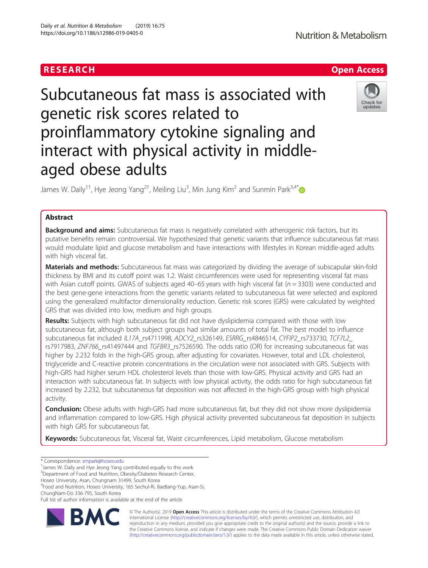# RESEARCH **RESEARCH CHANNEL EXECUTE ACCESS**

# Subcutaneous fat mass is associated with genetic risk scores related to proinflammatory cytokine signaling and interact with physical activity in middleaged obese adults

James W. Daily<sup>1†</sup>, Hye Jeong Yang<sup>2†</sup>, Meiling Liu<sup>3</sup>, Min Jung Kim<sup>2</sup> and Sunmin Park<sup>3,4\*</sup>

# Abstract

**Background and aims:** Subcutaneous fat mass is negatively correlated with atherogenic risk factors, but its putative benefits remain controversial. We hypothesized that genetic variants that influence subcutaneous fat mass would modulate lipid and glucose metabolism and have interactions with lifestyles in Korean middle-aged adults with high visceral fat.

Materials and methods: Subcutaneous fat mass was categorized by dividing the average of subscapular skin-fold thickness by BMI and its cutoff point was 1.2. Waist circumferences were used for representing visceral fat mass with Asian cutoff points. GWAS of subjects aged 40–65 years with high visceral fat ( $n = 3303$ ) were conducted and the best gene-gene interactions from the genetic variants related to subcutaneous fat were selected and explored using the generalized multifactor dimensionality reduction. Genetic risk scores (GRS) were calculated by weighted GRS that was divided into low, medium and high groups.

Results: Subjects with high subcutaneous fat did not have dyslipidemia compared with those with low subcutaneous fat, although both subject groups had similar amounts of total fat. The best model to influence subcutaneous fat included IL17A\_rs4711998, ADCY2\_rs326149, ESRRG\_rs4846514, CYFIP2\_rs733730, TCF7L2\_ rs7917983, ZNF766 rs41497444 and TGFBR3\_rs7526590. The odds ratio (OR) for increasing subcutaneous fat was higher by 2.232 folds in the high-GRS group, after adjusting for covariates. However, total and LDL cholesterol, triglyceride and C-reactive protein concentrations in the circulation were not associated with GRS. Subjects with high-GRS had higher serum HDL cholesterol levels than those with low-GRS. Physical activity and GRS had an interaction with subcutaneous fat. In subjects with low physical activity, the odds ratio for high subcutaneous fat increased by 2.232, but subcutaneous fat deposition was not affected in the high-GRS group with high physical activity.

**Conclusion:** Obese adults with high-GRS had more subcutaneous fat, but they did not show more dyslipidemia and inflammation compared to low-GRS. High physical activity prevented subcutaneous fat deposition in subjects with high GRS for subcutaneous fat.

Keywords: Subcutaneous fat, Visceral fat, Waist circumferences, Lipid metabolism, Glucose metabolism

<sup>+</sup>James W. Daily and Hye Jeong Yang contributed equally to this work.

<sup>3</sup>Department of Food and Nutrition, Obesity/Diabetes Research Center,

Hoseo University, Asan, Chungnam 31499, South Korea

4 Food and Nutrition, Hoseo University, 165 Sechul-Ri, BaeBang-Yup, Asan-Si, ChungNam-Do 336-795, South Korea

Full list of author information is available at the end of the article











© The Author(s). 2019 **Open Access** This article is distributed under the terms of the Creative Commons Attribution 4.0 International License [\(http://creativecommons.org/licenses/by/4.0/](http://creativecommons.org/licenses/by/4.0/)), which permits unrestricted use, distribution, and reproduction in any medium, provided you give appropriate credit to the original author(s) and the source, provide a link to the Creative Commons license, and indicate if changes were made. The Creative Commons Public Domain Dedication waiver [\(http://creativecommons.org/publicdomain/zero/1.0/](http://creativecommons.org/publicdomain/zero/1.0/)) applies to the data made available in this article, unless otherwise stated.



Check for undates

<sup>\*</sup> Correspondence: [smpark@hoseo.edu](mailto:smpark@hoseo.edu) †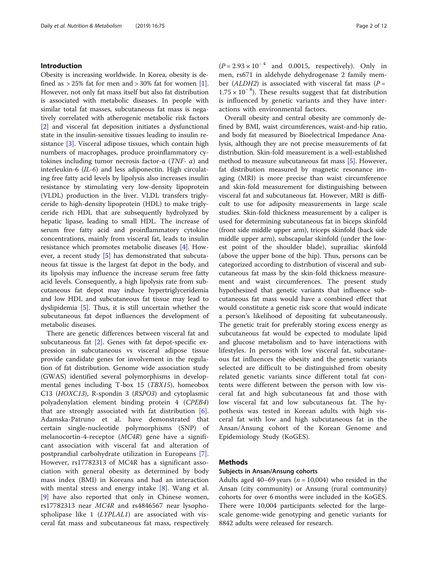# Introduction

Obesity is increasing worldwide. In Korea, obesity is defined as  $> 25\%$  fat for men and  $> 30\%$  fat for women [\[1](#page-10-0)]. However, not only fat mass itself but also fat distribution is associated with metabolic diseases. In people with similar total fat masses, subcutaneous fat mass is negatively correlated with atherogenic metabolic risk factors [[2\]](#page-10-0) and visceral fat deposition initiates a dysfunctional state in the insulin-sensitive tissues leading to insulin resistance [\[3](#page-10-0)]. Visceral adipose tissues, which contain high numbers of macrophages, produce proinflammatory cytokines including tumor necrosis factor- $\alpha$  (TNF- α) and interleukin-6 (IL-6) and less adiponectin. High circulating free fatty acid levels by lipolysis also increases insulin resistance by stimulating very low-density lipoprotein (VLDL) production in the liver. VLDL transfers triglyceride to high-density lipoprotein (HDL) to make triglyceride rich HDL that are subsequently hydrolyzed by hepatic lipase, leading to small HDL. The increase of serum free fatty acid and proinflammatory cytokine concentrations, mainly from visceral fat, leads to insulin resistance which promotes metabolic diseases [[4](#page-10-0)]. However, a recent study [\[5](#page-10-0)] has demonstrated that subcutaneous fat tissue is the largest fat depot in the body, and its lipolysis may influence the increase serum free fatty acid levels. Consequently, a high lipolysis rate from subcutaneous fat depot may induce hypertriglyceridemia and low HDL and subcutaneous fat tissue may lead to dyslipidemia [\[5](#page-10-0)]. Thus, it is still uncertain whether the subcutaneous fat depot influences the development of metabolic diseases.

There are genetic differences between visceral fat and subcutaneous fat  $[2]$  $[2]$ . Genes with fat depot-specific expression in subcutaneous vs visceral adipose tissue provide candidate genes for involvement in the regulation of fat distribution. Genome wide association study (GWAS) identified several polymorphisms in developmental genes including T-box 15 (TBX15), homeobox C13 (HOXC13), R-spondin 3 (RSPO3) and cytoplasmic polyadenylation element binding protein 4 (CPEB4) that are strongly associated with fat distribution  $[6]$  $[6]$ . Adamska-Patruno et al. have demonstrated that certain single-nucleotide polymorphisms (SNP) of melanocortin-4-receptor (MC4R) gene have a significant association with visceral fat and alteration of postprandial carbohydrate utilization in Europeans [\[7](#page-10-0)]. However, rs17782313 of MC4R has a significant association with general obesity as determined by body mass index (BMI) in Koreans and had an interaction with mental stress and energy intake [[8\]](#page-10-0). Wang et al. [[9\]](#page-10-0) have also reported that only in Chinese women, rs17782313 near MC4R and rs4846567 near lysophospholipase like  $1$  (*LYPLAL1*) are associated with visceral fat mass and subcutaneous fat mass, respectively  $(P = 2.93 \times 10^{-4}$  and 0.0015, respectively). Only in men, rs671 in aldehyde dehydrogenase 2 family member (ALDH2) is associated with visceral fat mass ( $P =$  $1.75 \times 10^{-8}$ ). These results suggest that fat distribution is influenced by genetic variants and they have interactions with environmental factors.

Overall obesity and central obesity are commonly defined by BMI, waist circumferences, waist-and-hip ratio, and body fat measured by Bioelectrical Impedance Analysis, although they are not precise measurements of fat distribution. Skin-fold measurement is a well-established method to measure subcutaneous fat mass [[5](#page-10-0)]. However, fat distribution measured by magnetic resonance imaging (MRI) is more precise than waist circumference and skin-fold measurement for distinguishing between visceral fat and subcutaneous fat. However, MRI is difficult to use for adiposity measurements in large scale studies. Skin-fold thickness measurement by a caliper is used for determining subcutaneous fat in biceps skinfold (front side middle upper arm), triceps skinfold (back side middle upper arm), subscapular skinfold (under the lowest point of the shoulder blade), suprailiac skinfold (above the upper bone of the hip). Thus, persons can be categorized according to distribution of visceral and subcutaneous fat mass by the skin-fold thickness measurement and waist circumferences. The present study hypothesized that genetic variants that influence subcutaneous fat mass would have a combined effect that would constitute a genetic risk score that would indicate a person's likelihood of depositing fat subcutaneously. The genetic trait for preferably storing excess energy as subcutaneous fat would be expected to modulate lipid and glucose metabolism and to have interactions with lifestyles. In persons with low visceral fat, subcutaneous fat influences the obesity and the genetic variants selected are difficult to be distinguished from obesity related genetic variants since different total fat contents were different between the person with low visceral fat and high subcutaneous fat and those with low visceral fat and low subcutaneous fat. The hypothesis was tested in Korean adults with high visceral fat with low and high subcutaneous fat in the Ansan/Ansung cohort of the Korean Genome and Epidemiology Study (KoGES).

# Methods

#### Subjects in Ansan/Ansung cohorts

Adults aged 40–69 years ( $n = 10,004$ ) who resided in the Ansan (city community) or Ansung (rural community) cohorts for over 6 months were included in the KoGES. There were 10,004 participants selected for the largescale genome-wide genotyping and genetic variants for 8842 adults were released for research.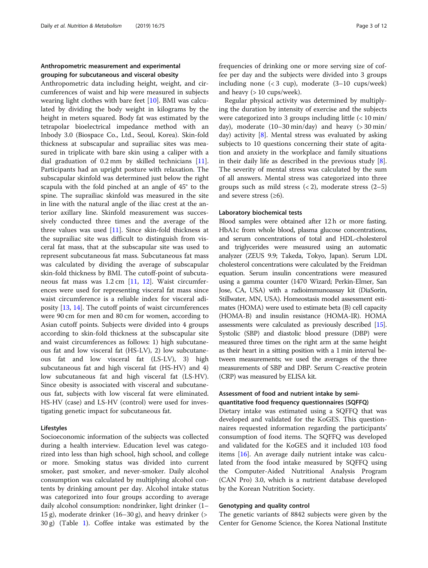# Anthropometric measurement and experimental grouping for subcutaneous and visceral obesity

Anthropometric data including height, weight, and circumferences of waist and hip were measured in subjects wearing light clothes with bare feet [\[10\]](#page-10-0). BMI was calculated by dividing the body weight in kilograms by the height in meters squared. Body fat was estimated by the tetrapolar bioelectrical impedance method with an Inbody 3.0 (Biospace Co., Ltd., Seoul, Korea). Skin-fold thickness at subscapular and suprailiac sites was measured in triplicate with bare skin using a caliper with a dial graduation of 0.2 mm by skilled technicians [\[11](#page-10-0)]. Participants had an upright posture with relaxation. The subscapular skinfold was determined just below the right scapula with the fold pinched at an angle of 45° to the spine. The suprailiac skinfold was measured in the site in line with the natural angle of the iliac crest at the anterior axillary line. Skinfold measurement was successively conducted three times and the average of the three values was used [[11\]](#page-10-0). Since skin-fold thickness at the suprailiac site was difficult to distinguish from visceral fat mass, that at the subscapular site was used to represent subcutaneous fat mass. Subcutaneous fat mass was calculated by dividing the average of subscapular skin-fold thickness by BMI. The cutoff-point of subcutaneous fat mass was 1.2 cm [\[11](#page-10-0), [12](#page-10-0)]. Waist circumferences were used for representing visceral fat mass since waist circumference is a reliable index for visceral adiposity [\[13,](#page-10-0) [14\]](#page-10-0). The cutoff points of waist circumferences were 90 cm for men and 80 cm for women, according to Asian cutoff points. Subjects were divided into 4 groups according to skin-fold thickness at the subscapular site and waist circumferences as follows: 1) high subcutaneous fat and low visceral fat (HS-LV), 2) low subcutaneous fat and low visceral fat (LS-LV), 3) high subcutaneous fat and high visceral fat (HS-HV) and 4) low subcutaneous fat and high visceral fat (LS-HV). Since obesity is associated with visceral and subcutaneous fat, subjects with low visceral fat were eliminated. HS-HV (case) and LS-HV (control) were used for investigating genetic impact for subcutaneous fat.

# Lifestyles

Socioeconomic information of the subjects was collected during a health interview. Education level was categorized into less than high school, high school, and college or more. Smoking status was divided into current smoker, past smoker, and never-smoker. Daily alcohol consumption was calculated by multiplying alcohol contents by drinking amount per day. Alcohol intake status was categorized into four groups according to average daily alcohol consumption: nondrinker, light drinker (1– 15 g), moderate drinker (16–30 g), and heavy drinker (> 30 g) (Table [1\)](#page-3-0). Coffee intake was estimated by the frequencies of drinking one or more serving size of coffee per day and the subjects were divided into 3 groups including none (< 3 cup), moderate (3–10 cups/week) and heavy (> 10 cups/week).

Regular physical activity was determined by multiplying the duration by intensity of exercise and the subjects were categorized into 3 groups including little (< 10 min/ day), moderate  $(10-30 \text{ min/day})$  and heavy  $(>30 \text{ min/s})$ day) activity  $[8]$  $[8]$ . Mental stress was evaluated by asking subjects to 10 questions concerning their state of agitation and anxiety in the workplace and family situations in their daily life as described in the previous study [\[8](#page-10-0)]. The severity of mental stress was calculated by the sum of all answers. Mental stress was categorized into three groups such as mild stress  $( $2$ ), moderate stress  $(2-5)$$ and severe stress  $(≥6)$ .

#### Laboratory biochemical tests

Blood samples were obtained after 12 h or more fasting. HbA1c from whole blood, plasma glucose concentrations, and serum concentrations of total and HDL-cholesterol and triglycerides were measured using an automatic analyzer (ZEUS 9.9; Takeda, Tokyo, Japan). Serum LDL cholesterol concentrations were calculated by the Freidman equation. Serum insulin concentrations were measured using a gamma counter (1470 Wizard; Perkin-Elmer, San Jose, CA, USA) with a radioimmunoassay kit (DiaSorin, Stillwater, MN, USA). Homeostasis model assessment estimates (HOMA) were used to estimate beta (B) cell capacity (HOMA-B) and insulin resistance (HOMA-IR). HOMA assessments were calculated as previously described [\[15](#page-10-0)]. Systolic (SBP) and diastolic blood pressure (DBP) were measured three times on the right arm at the same height as their heart in a sitting position with a 1 min interval between measurements; we used the averages of the three measurements of SBP and DBP. Serum C-reactive protein (CRP) was measured by ELISA kit.

# Assessment of food and nutrient intake by semiquantitative food frequency questionnaires (SQFFQ)

Dietary intake was estimated using a SQFFQ that was developed and validated for the KoGES. This questionnaires requested information regarding the participants' consumption of food items. The SQFFQ was developed and validated for the KoGES and it included 103 food items [\[16](#page-10-0)]. An average daily nutrient intake was calculated from the food intake measured by SQFFQ using the Computer-Aided Nutritional Analysis Program (CAN Pro) 3.0, which is a nutrient database developed by the Korean Nutrition Society.

## Genotyping and quality control

The genetic variants of 8842 subjects were given by the Center for Genome Science, the Korea National Institute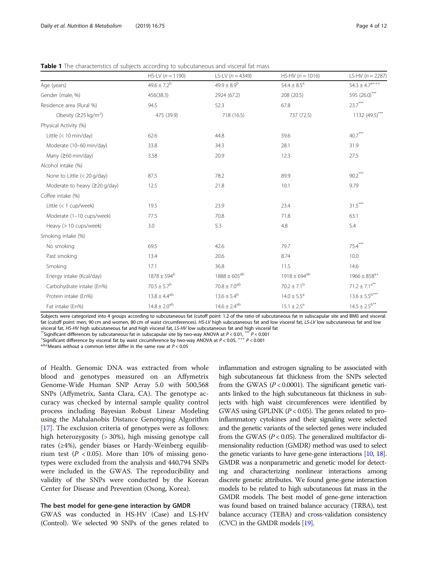<span id="page-3-0"></span>Table 1 The characteristics of subjects according to subcutaneous and visceral fat mass

|                                         | $HS-LV (n = 1190)$           | LS-LV $(n = 4349)$    | $HS-HV (n = 1016)$     | LS-HV ( $n = 2287$ )             |
|-----------------------------------------|------------------------------|-----------------------|------------------------|----------------------------------|
| Age (years)                             | $49.6 \pm 7.2^{b}$           | $49.9 \pm 8.9^{b}$    | $54.4 \pm 8.5^{\circ}$ | $54.3 \pm 4.7^{\overline{a}+++}$ |
| Gender (male, %)                        | 456(38.3)                    | 2924 (67.2)           | 208 (20.5)             | 595 (26.0)***                    |
| Residence area (Rural %)                | 94.5                         | 52.3                  | 67.8                   | $23.7***$                        |
| Obesity ( $\geq$ 25 kg/m <sup>2</sup> ) | 475 (39.9)                   | 718 (16.5)            | 737 (72.5)             | 1132 (49.5)***                   |
| Physical Activity (%)                   |                              |                       |                        |                                  |
| Little $(< 10$ min/day)                 | 62.6                         | 44.8                  | 59.6                   | $40.7***$                        |
| Moderate (10-60 min/day)                | 33.8                         | 34.3                  | 28.1                   | 31.9                             |
| Many (≥60 min/day)                      | 3.58                         | 20.9                  | 12.3                   | 27.5                             |
| Alcohol intake (%)                      |                              |                       |                        |                                  |
| None to Little $(<$ 20 g/day)           | 87.5                         | 78.2                  | 89.9                   | $90.2***$                        |
| Moderate to heavy (≥20 g/day)           | 12.5                         | 21.8                  | 10.1                   | 9.79                             |
| Coffee intake (%)                       |                              |                       |                        |                                  |
| Little $(< 1$ cup/week)                 | 19.5                         | 23.9                  | 23.4                   | $31.5***$                        |
| Moderate (1-10 cups/week)               | 77.5                         | 70.8                  | 71.8                   | 63.1                             |
| Heavy (> 10 cups/week)                  | 3.0                          | 5.3                   | 4.8                    | 5.4                              |
| Smoking intake (%)                      |                              |                       |                        |                                  |
| No smoking                              | 69.5                         | 42.6                  | 79.7                   | $75.4***$                        |
| Past smoking                            | 13.4                         | 20.6                  | 8.74                   | 10.0                             |
| Smoking                                 | 17.1                         | 36.8                  | 11.5                   | 14.6                             |
| Energy intake (Kcal/day)                | $1878 \pm 594^b$             | $1888 \pm 605^{ab}$   | $1918 \pm 694^{ab}$    | $1966 \pm 858$ <sup>a+</sup>     |
| Carbohydrate intake (En%)               | $70.5 \pm 5.7^{\rm b}$       | $70.8\pm7.0^{\rm ab}$ | $70.2 \pm 7.1^{\rm b}$ | $71.2 \pm 7.1^{a**}$             |
| Protein intake (En%)                    | $13.8 \pm 4.4^{ab}$          | $13.6 \pm 5.4^b$      | $14.0 \pm 5.5^{\circ}$ | $13.6 \pm 5.5^{b***}$            |
| Fat intake (En%)                        | $14.8 \pm 2.0$ <sup>ab</sup> | $14.6 \pm 2.4^{ab}$   | $15.1 \pm 2.5^{\circ}$ | $14.5 \pm 2.5^{b**}$             |

Subjects were categorized into 4 groups according to subcutaneous fat (cutoff point: 1.2 of the ratio of subcutaneous fat in subscapular site and BMI) and visceral fat (cutoff point: men, 90 cm and women, 80 cm of waist circumferences). HS-LV high subcutaneous fat and low visceral fat, LS-LV low subcutaneous fat and low visceral fat, HS-HV high subcutaneous fat and high visceral fat, LS-HV low subcutaneous fat and high visceral fat<br>\*\*Significant differences by subcutaneous fat in subscapular site by two-way ANOVA at  $P < 0.01$ , \*\*\*  $P < 0.$ 

<sup>+</sup>Significant difference by visceral fat by waist circumference by two-way ANOVA at  $P < 0.05$ ,  $^{+++}$   $P < 0.001$ <br><sup>a,b,c</sup>Means without a common letter differ in the same row at  $P < 0.05$ 

of Health. Genomic DNA was extracted from whole blood and genotypes measured on an Affymetrix Genome-Wide Human SNP Array 5.0 with 500,568 SNPs (Affymetrix, Santa Clara, CA). The genotype accuracy was checked by internal sample quality control process including Bayesian Robust Linear Modeling using the Mahalanobis Distance Genotyping Algorithm [[17\]](#page-10-0). The exclusion criteria of genotypes were as follows: high heterozygosity (> 30%), high missing genotype call rates (≥4%), gender biases or Hardy-Weinberg equilibrium test ( $P < 0.05$ ). More than 10% of missing genotypes were excluded from the analysis and 440,794 SNPs were included in the GWAS. The reproducibility and validity of the SNPs were conducted by the Korean Center for Disease and Prevention (Osong, Korea).

#### The best model for gene-gene interaction by GMDR

GWAS was conducted in HS-HV (Case) and LS-HV (Control). We selected 90 SNPs of the genes related to inflammation and estrogen signaling to be associated with high subcutaneous fat thickness from the SNPs selected from the GWAS ( $P < 0.0001$ ). The significant genetic variants linked to the high subcutaneous fat thickness in subjects with high waist circumferences were identified by GWAS using GPLINK ( $P < 0.05$ ). The genes related to proinflammatory cytokines and their signaling were selected and the genetic variants of the selected genes were included from the GWAS ( $P < 0.05$ ). The generalized multifactor dimensionality reduction (GMDR) method was used to select the genetic variants to have gene-gene interactions [[10](#page-10-0), [18](#page-10-0)]. GMDR was a nonparametric and genetic model for detecting and characterizing nonlinear interactions among discrete genetic attributes. We found gene-gene interaction models to be related to high subcutaneous fat mass in the GMDR models. The best model of gene-gene interaction was found based on trained balance accuracy (TRBA), test balance accuracy (TEBA) and cross-validation consistency (CVC) in the GMDR models [\[19\]](#page-10-0).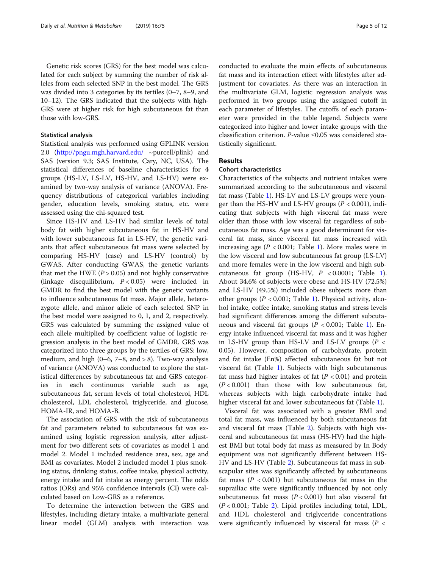Genetic risk scores (GRS) for the best model was calculated for each subject by summing the number of risk alleles from each selected SNP in the best model. The GRS was divided into 3 categories by its tertiles (0–7, 8–9, and 10–12). The GRS indicated that the subjects with high-GRS were at higher risk for high subcutaneous fat than those with low-GRS.

## Statistical analysis

Statistical analysis was performed using GPLINK version 2.0 (<http://pngu.mgh.harvard.edu/> ~purcell/plink) and SAS (version 9.3; SAS Institute, Cary, NC, USA). The statistical differences of baseline characteristics for 4 groups (HS-LV, LS-LV, HS-HV, and LS-HV) were examined by two-way analysis of variance (ANOVA). Frequency distributions of categorical variables including gender, education levels, smoking status, etc. were assessed using the chi-squared test.

Since HS-HV and LS-HV had similar levels of total body fat with higher subcutaneous fat in HS-HV and with lower subcutaneous fat in LS-HV, the genetic variants that affect subcutaneous fat mass were selected by comparing HS-HV (case) and LS-HV (control) by GWAS. After conducting GWAS, the genetic variants that met the HWE ( $P > 0.05$ ) and not highly conservative (linkage disequilibrium,  $P < 0.05$ ) were included in GMDR to find the best model with the genetic variants to influence subcutaneous fat mass. Major allele, heterozygote allele, and minor allele of each selected SNP in the best model were assigned to 0, 1, and 2, respectively. GRS was calculated by summing the assigned value of each allele multiplied by coefficient value of logistic regression analysis in the best model of GMDR. GRS was categorized into three groups by the tertiles of GRS: low, medium, and high  $(0-6, 7-8,$  and  $> 8)$ . Two-way analysis of variance (ANOVA) was conducted to explore the statistical differences by subcutaneous fat and GRS categories in each continuous variable such as age, subcutaneous fat, serum levels of total cholesterol, HDL cholesterol, LDL cholesterol, triglyceride, and glucose, HOMA-IR, and HOMA-B.

The association of GRS with the risk of subcutaneous fat and parameters related to subcutaneous fat was examined using logistic regression analysis, after adjustment for two different sets of covariates as model 1 and model 2. Model 1 included residence area, sex, age and BMI as covariates. Model 2 included model 1 plus smoking status, drinking status, coffee intake, physical activity, energy intake and fat intake as energy percent. The odds ratios (ORs) and 95% confidence intervals (CI) were calculated based on Low-GRS as a reference.

To determine the interaction between the GRS and lifestyles, including dietary intake, a multivariate general linear model (GLM) analysis with interaction was

conducted to evaluate the main effects of subcutaneous fat mass and its interaction effect with lifestyles after adjustment for covariates. As there was an interaction in the multivariate GLM, logistic regression analysis was performed in two groups using the assigned cutoff in each parameter of lifestyles. The cutoffs of each parameter were provided in the table legend. Subjects were categorized into higher and lower intake groups with the classification criterion. P-value ≤0.05 was considered statistically significant.

# Results

# Cohort characteristics

Characteristics of the subjects and nutrient intakes were summarized according to the subcutaneous and visceral fat mass (Table [1](#page-3-0)). HS-LV and LS-LV groups were younger than the HS-HV and LS-HV groups ( $P < 0.001$ ), indicating that subjects with high visceral fat mass were older than those with low visceral fat regardless of subcutaneous fat mass. Age was a good determinant for visceral fat mass, since visceral fat mass increased with increasing age ( $P < 0.001$ ; Table [1\)](#page-3-0). More males were in the low visceral and low subcutaneous fat group (LS-LV) and more females were in the low visceral and high subcutaneous fat group (HS-HV,  $P < 0.0001$  $P < 0.0001$ ; Table 1). About 34.6% of subjects were obese and HS-HV (72.5%) and LS-HV (49.5%) included obese subjects more than other groups ( $P < 0.001$ ; Table [1\)](#page-3-0). Physical activity, alcohol intake, coffee intake, smoking status and stress levels had significant differences among the different subcutaneous and visceral fat groups ( $P < 0.001$  $P < 0.001$ ; Table 1). Energy intake influenced visceral fat mass and it was higher in LS-HV group than HS-LV and LS-LV groups ( $P \leq$ 0.05). However, composition of carbohydrate, protein and fat intake (En%) affected subcutaneous fat but not visceral fat (Table [1](#page-3-0)). Subjects with high subcutaneous fat mass had higher intakes of fat  $(P < 0.01)$  and protein  $(P < 0.001)$  than those with low subcutaneous fat, whereas subjects with high carbohydrate intake had higher visceral fat and lower subcutaneous fat (Table [1\)](#page-3-0).

Visceral fat was associated with a greater BMI and total fat mass, was influenced by both subcutaneous fat and visceral fat mass (Table [2\)](#page-5-0). Subjects with high visceral and subcutaneous fat mass (HS-HV) had the highest BMI but total body fat mass as measured by In Body equipment was not significantly different between HS-HV and LS-HV (Table [2](#page-5-0)). Subcutaneous fat mass in subscapular sites was significantly affected by subcutaneous fat mass ( $P < 0.001$ ) but subcutaneous fat mass in the suprailiac site were significantly influenced by not only subcutaneous fat mass ( $P < 0.001$ ) but also visceral fat  $(P < 0.001$ ; Table [2\)](#page-5-0). Lipid profiles including total, LDL, and HDL cholesterol and triglyceride concentrations were significantly influenced by visceral fat mass ( $P \lt \theta$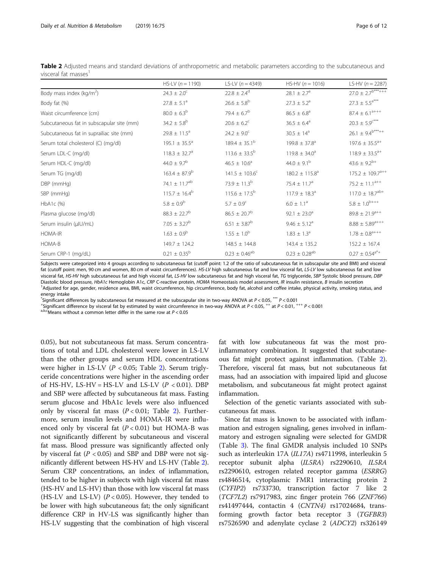|                                           | $HS-LV (n = 1190)$            | LS-LV $(n = 4349)$           | HS-HV ( $n = 1016$ )          | LS-HV ( $n = 2287$ )                   |
|-------------------------------------------|-------------------------------|------------------------------|-------------------------------|----------------------------------------|
| Body mass index ( $kg/m2$ )               | $24.3 \pm 2.0^{\circ}$        | $22.8 \pm 2.4^d$             | $28.1 \pm 2.7^a$              | $27.0 \pm 2.7^{\overline{b^{***}}+++}$ |
| Body fat (%)                              | $27.8 \pm 5.1^a$              | $26.6 \pm 5.8^{\circ}$       | $27.3 \pm 5.2^a$              | $27.3 \pm 5.5$ <sup>a***</sup>         |
| Waist circumference (cm)                  | $80.0 \pm 6.3^{b}$            | 79.4 $\pm$ 6.7 <sup>b</sup>  | $86.5 \pm 6.8^a$              | $87.4 \pm 6.1^{a+++}$                  |
| Subcutaneous fat in subscapular site (mm) | $34.2 \pm 5.8^{\circ}$        | $20.6 \pm 6.2^c$             | $36.5 \pm 6.4^a$              | $20.3 \pm 5.9^{c***}$                  |
| Subcutaneous fat in suprailiac site (mm)  | $29.8 \pm 11.5^a$             | $24.2 \pm 9.0^{\circ}$       | $30.5 \pm 14^a$               | $26.1 \pm 9.4^{b***++}$                |
| Serum total cholesterol (C) (mg/dl)       | $195.1 \pm 35.5^{\circ}$      | $189.4 \pm 35.1^{\circ}$     | $199.8 \pm 37.8^{\circ}$      | $197.6 \pm 35.5^{\text{a}+}$           |
| Serum LDL-C (mg/dl)                       | $118.3 \pm 32.7^a$            | $113.6 \pm 33.5^b$           | $119.8 \pm 34.0^a$            | $118.9 \pm 33.5^{a+}$                  |
| Serum HDL-C (mg/dl)                       | $44.0 \pm 9.7^b$              | $46.5 \pm 10.6^a$            | $44.0 \pm 9.1^{\circ}$        | $43.6 \pm 9.2^{b+}$                    |
| Serum TG (mg/dl)                          | $163.4 \pm 87.9^b$            | $141.5 \pm 103.6^{\circ}$    | $180.2 \pm 115.8^a$           | $175.2 \pm 109.7^{a++}$                |
| DBP (mmHg)                                | 74.1 $\pm$ 11.7 <sup>ab</sup> | 73.9 $\pm$ 11.3 <sup>b</sup> | 75.4 $\pm$ 11.7 <sup>a</sup>  | $75.2 \pm 11.1^{\text{a++}}$           |
| SBP (mmHg)                                | $115.7 \pm 16.4^b$            | $115.6 \pm 17.5^{\circ}$     | $117.9 \pm 18.3$ <sup>a</sup> | $117.0 \pm 18.7^{\rm ab+}$             |
| HbA1c (%)                                 | $5.8 \pm 0.9^{\rm b}$         | $5.7 \pm 0.9^{\circ}$        | $6.0 \pm 1.1^{\circ}$         | $5.8 \pm 1.0^{b+++}$                   |
| Plasma glucose (mg/dl)                    | $88.3 \pm 22.7^b$             | $86.5 \pm 20.7^{\rm b}$      | 92.1 $\pm$ 23.0 <sup>a</sup>  | $89.8 \pm 21.9^{a++}$                  |
| Serum insulin (µlU/mL)                    | $7.05 \pm 3.27^b$             | $6.51 \pm 3.87^b$            | $9.46 \pm 5.12^a$             | $8.88\,\pm\,5.89^{\rm a+++}$           |
| HOMA-IR                                   | $1.63 \pm 0.9^b$              | $1.55 \pm 1.0^b$             | $1.83 \pm 1.3^{\circ}$        | $1.78 \pm 0.8$ <sup>a+++</sup>         |
| HOMA-B                                    | $149.7 \pm 124.2$             | $148.5 \pm 144.8$            | $143.4 \pm 135.2$             | $152.2 \pm 167.4$                      |
| Serum CRP-1 (mg/dL)                       | $0.21 \pm 0.35^{\rm b}$       | $0.23 \pm 0.46^{ab}$         | $0.23 \pm 0.28$ <sup>ab</sup> | $0.27 \pm 0.54$ <sup>a*+</sup>         |

<span id="page-5-0"></span>Table 2 Adjusted means and standard deviations of anthropometric and metabolic parameters according to the subcutaneous and visceral fat masses

Subjects were categorized into 4 groups according to subcutaneous fat (cutoff point: 1.2 of the ratio of subcutaneous fat in subscapular site and BMI) and visceral fat (cutoff point: men, 90 cm and women, 80 cm of waist circumferences). HS-LV high subcutaneous fat and low visceral fat, LS-LV low subcutaneous fat and low visceral fat, HS-HV high subcutaneous fat and high visceral fat, LS-HV low subcutaneous fat and high visceral fat, TG triglyceride, SBP Systolic blood pressure, DBP Diastolic blood pressure, HbA1c Hemoglobin A1c, CRP C-reactive protein, HOMA Homeostasis model assessment, IR insulin resistance, B insulin secretion <sup>1</sup>Adjusted for age, gender, residence area, BMI, waist circumference, hip circumference, body fat, alcohol and coffee intake, physical activity, smoking status, and energy intake

\*Significant differences by subcutaneous fat measured at the subscapular site in two-way ANOVA at  $P < 0.05$ , \*\*\*  $P < 0.001$ <br>\*Significant difference by visceral fat by estimated by waist circumference in two-way ANOVA at

<sup>+</sup>Significant difference by visceral fat by estimated by waist circumference in two-way ANOVA at  $P < 0.05$ , <sup>++</sup> at  $P < 0.01$ , <sup>+++</sup>  $P < 0.001$ <br><sup>a,b,c</sup>Means without a common letter differ in the same row at  $P < 0.05$ 

0.05), but not subcutaneous fat mass. Serum concentrations of total and LDL cholesterol were lower in LS-LV than the other groups and serum HDL concentrations were higher in LS-LV ( $P < 0.05$ ; Table 2). Serum triglyceride concentrations were higher in the ascending order of HS-HV, LS-HV = HS-LV and LS-LV  $(P < 0.01)$ . DBP and SBP were affected by subcutaneous fat mass. Fasting serum glucose and HbA1c levels were also influenced only by visceral fat mass  $(P < 0.01$ ; Table 2). Furthermore, serum insulin levels and HOMA-IR were influenced only by visceral fat  $(P < 0.01)$  but HOMA-B was not significantly different by subcutaneous and visceral fat mass. Blood pressure was significantly affected only by visceral fat ( $P < 0.05$ ) and SBP and DBP were not significantly different between HS-HV and LS-HV (Table 2). Serum CRP concentrations, an index of inflammation, tended to be higher in subjects with high visceral fat mass (HS-HV and LS-HV) than those with low visceral fat mass (HS-LV and LS-LV) ( $P < 0.05$ ). However, they tended to be lower with high subcutaneous fat; the only significant difference CRP in HV-LS was significantly higher than HS-LV suggesting that the combination of high visceral

fat with low subcutaneous fat was the most proinflammatory combination. It suggested that subcutaneous fat might protect against inflammation. (Table 2). Therefore, visceral fat mass, but not subcutaneous fat mass, had an association with impaired lipid and glucose metabolism, and subcutaneous fat might protect against inflammation.

Selection of the genetic variants associated with subcutaneous fat mass.

Since fat mass is known to be associated with inflammation and estrogen signaling, genes involved in inflammatory and estrogen signaling were selected for GMDR (Table [3](#page-6-0)). The final GMDR analysis included 10 SNPs such as interleukin 17A (IL17A) rs4711998, interleukin 5 receptor subunit alpha (IL5RA) rs2290610, IL5RA rs2290610, estrogen related receptor gamma (ESRRG) rs4846514, cytoplasmic FMR1 interacting protein 2 (CYFIP2) rs733730, transcription factor 7 like 2 (TCF7L2) rs7917983, zinc finger protein 766 (ZNF766) rs41497444, contactin 4 (CNTN4) rs17024684, transforming growth factor beta receptor 3 (TGFBR3) rs7526590 and adenylate cyclase 2 (ADCY2) rs326149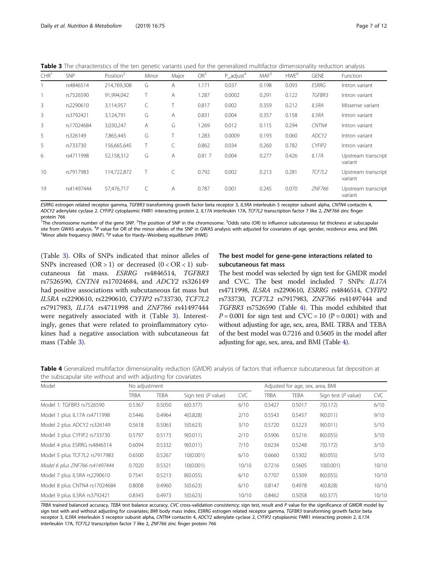<span id="page-6-0"></span>Table 3 The characteristics of the ten genetic variants used for the generalized multifactor dimensionality reduction analysis

| CHR <sup>1</sup> | <b>SNP</b> | Position <sup>2</sup> | Minor | Major      | OR <sup>3</sup> | $P\_adjust^4$ | MAF <sup>5</sup> | HWE <sup>6</sup> | <b>GENE</b>       | Function                       |
|------------------|------------|-----------------------|-------|------------|-----------------|---------------|------------------|------------------|-------------------|--------------------------------|
|                  | rs4846514  | 214,769,308           | G     | Α          | 1.171           | 0.037         | 0.198            | 0.093            | <b>ESRRG</b>      | Intron variant                 |
|                  | rs7526590  | 91,994,042            |       | A          | 1.287           | 0.0002        | 0.291            | 0.122            | TGFBR3            | Intron variant                 |
| 3                | rs2290610  | 3,114,957             | C     |            | 0.817           | 0.002         | 0.359            | 0.212            | IL5RA             | Missense variant               |
| 3                | rs3792421  | 3,124,791             | G     | A          | 0.831           | 0.004         | 0.357            | 0.158            | IL5RA             | Intron variant                 |
| 3                | rs17024684 | 3,030,247             | A     | G          | 1.269           | 0.012         | 0.115            | 0.294            | CNTN4             | Intron variant                 |
| 5                | rs326149   | 7,865,445             | G     |            | 1.283           | 0.0009        | 0.193            | 0.060            | ADCY <sub>2</sub> | Intron variant                 |
| 5                | rs733730   | 156,665,645           |       | $\sqrt{2}$ | 0.862           | 0.034         | 0.260            | 0.782            | CYFIP2            | Intron variant                 |
| 6                | rs4711998  | 52,158,312            | G     | A          | 0.817           | 0.004         | 0.277            | 0.426            | IL17A             | Upstream transcript<br>variant |
| 10               | rs7917983  | 114,722,872           |       |            | 0.792           | 0.002         | 0.213            | 0.281            | TCF7L2            | Upstream transcript<br>variant |
| 19               | rs41497444 | 57,476,717            |       | A          | 0.787           | 0.001         | 0.245            | 0.070            | ZNF766            | Upstream transcript<br>variant |

ESRRG estrogen related receptor gamma, TGFBR3 transforming growth factor beta receptor 3, IL5RA interleukin 5 receptor subunit alpha, CNTN4 contactin 4, ADCY2 adenylate cyclase 2. CYFIP2 cytoplasmic FMR1 interacting protein 2, IL17A interleukin 17A, TCF7L2 transcription factor 7 like 2, ZNF766 zinc finger protein 766

<sup>1</sup>The chromosome number of the gene SNP. <sup>2</sup>The position of SNP in the chromosome. <sup>3</sup>Odds ratio (OR) to influence subcutaneous fat thickness at subscapular site from GWAS analysis. <sup>4</sup>P value for OR of the minor alleles of the SNP in GWAS analysis with adjusted for covariates of age, gender, residence area, and BMI.<br><sup>5</sup>Minor allele frequency (MAF) <sup>6</sup>P value for Hardy-Meinber Minor allele frequency (MAF). <sup>6</sup>P value for Hardy–Weinberg equilibrium (HWE)

(Table 3). ORs of SNPs indicated that minor alleles of SNPs increased  $(OR > 1)$  or decreased  $(0 < OR < 1)$  subcutaneous fat mass. ESRRG rs4846514, TGFBR3 rs7526590, CNTN4 rs17024684, and ADCY2 rs326149 had positive associations with subcutaneous fat mass but IL5RA rs2290610, rs2290610, CYFIP2 rs733730, TCF7L2 rs7917983, IL17A rs4711998 and ZNF766 rs41497444 were negatively associated with it (Table 3). Interestingly, genes that were related to proinflammatory cytokines had a negative association with subcutaneous fat mass (Table 3).

# The best model for gene-gene interactions related to subcutaneous fat mass

The best model was selected by sign test for GMDR model and CVC. The best model included 7 SNPs: IL17A rs4711998, IL5RA rs2290610, ESRRG rs4846514, CYFIP2 rs733730, TCF7L2 rs7917983, ZNF766 rs41497444 and TGFBR3 rs7526590 (Table 4). This model exhibited that  $P = 0.001$  for sign test and CVC = 10 (P = 0.001) with and without adjusting for age, sex, area, BMI. TRBA and TEBA of the best model was 0.7216 and 0.5605 in the model after adjusting for age, sex, area, and BMI (Table 4).

Table 4 Generalized multifactor dimensionality reduction (GMDR) analysis of factors that influence subcutaneous fat deposition at the subscapular site without and with adjusting for covariates

| Model                          | No adjustment |             |                        |            |             | Adjusted for age, sex, area, BMI |                        |            |
|--------------------------------|---------------|-------------|------------------------|------------|-------------|----------------------------------|------------------------|------------|
|                                | <b>TRBA</b>   | <b>TEBA</b> | Sign test ( $P$ value) | <b>CVC</b> | <b>TRBA</b> | TEBA                             | Sign test ( $P$ value) | <b>CVC</b> |
| Model 1: TGFBR3 rs7526590      | 0.5367        | 0.5050      | 6(0.377)               | 6/10       | 0.5427      | 0.5017                           | 7(0.172)               | 6/10       |
| Model 1 plus IL17A rs4711998   | 0.5446        | 0.4964      | 4(0.828)               | 2/10       | 0.5543      | 0.5457                           | 9(0.011)               | 9/10       |
| Model 2 plus ADCY2 rs326149    | 0.5618        | 0.5063      | 5(0.623)               | 3/10       | 0.5720      | 0.5223                           | 9(0.011)               | 5/10       |
| Model 3 plus CYFIP2 rs733730   | 0.5797        | 0.5173      | 9(0.011)               | 2/10       | 0.5906      | 0.5216                           | 8(0.055)               | 3/10       |
| Model 4 plus ESRRG rs4846514   | 0.6094        | 0.5332      | 9(0.011)               | 7/10       | 0.6234      | 0.5248                           | 7(0.172)               | 3/10       |
| Model 5 plus TCF7L2 rs7917983  | 0.6500        | 0.5267      | 10(0.001)              | 6/10       | 0.6660      | 0.5302                           | 8(0.055)               | 5/10       |
| Model 6 plus ZNF766 rs41497444 | 0.7020        | 0.5321      | 10(0.001)              | 10/10      | 0.7216      | 0.5605                           | 10(0.001)              | 10/10      |
| Model 7 plus IL5RA rs2290610   | 0.7541        | 0.5213      | 8(0.055)               | 6/10       | 0.7707      | 0.5309                           | 8(0.055)               | 10/10      |
| Model 8 plus CNTN4 rs17024684  | 0.8008        | 0.4960      | 5(0.623)               | 6/10       | 0.8147      | 0.4978                           | 4(0.828)               | 10/10      |
| Model 9 plus IL5RA rs3792421   | 0.8343        | 0.4973      | 5(0.623)               | 10/10      | 0.8462      | 0.5058                           | 6(0.377)               | 10/10      |

TRBA trained balanced accuracy, TEBA test balance accuracy, CVC cross-validation consistency; sign test, result and P value for the significance of GMDR model by sign test with and without adjusting for covariates; BMI body mass index, ESRRG estrogen related receptor gamma, TGFBR3 transforming growth factor beta receptor 3, IL5RA interleukin 5 receptor subunit alpha, CNTN4 contactin 4, ADCY2 adenylate cyclase 2, CYFIP2 cytoplasmic FMR1 interacting protein 2, IL17A interleukin 17A, TCF7L2 transcription factor 7 like 2, ZNF766 zinc finger protein 766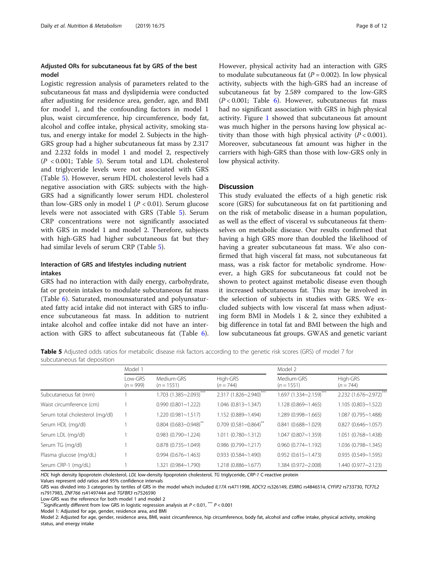# Adjusted ORs for subcutaneous fat by GRS of the best model

Logistic regression analysis of parameters related to the subcutaneous fat mass and dyslipidemia were conducted after adjusting for residence area, gender, age, and BMI for model 1, and the confounding factors in model 1 plus, waist circumference, hip circumference, body fat, alcohol and coffee intake, physical activity, smoking status, and energy intake for model 2. Subjects in the high-GRS group had a higher subcutaneous fat mass by 2.317 and 2.232 folds in model 1 and model 2, respectively  $(P < 0.001$ ; Table 5). Serum total and LDL cholesterol and triglyceride levels were not associated with GRS (Table 5). However, serum HDL cholesterol levels had a negative association with GRS: subjects with the high-GRS had a significantly lower serum HDL cholesterol than low-GRS only in model 1 ( $P < 0.01$ ). Serum glucose levels were not associated with GRS (Table 5). Serum CRP concentrations were not significantly associated with GRS in model 1 and model 2. Therefore, subjects with high-GRS had higher subcutaneous fat but they had similar levels of serum CRP (Table 5).

# Interaction of GRS and lifestyles including nutrient intakes

GRS had no interaction with daily energy, carbohydrate, fat or protein intakes to modulate subcutaneous fat mass (Table [6](#page-8-0)). Saturated, monounsaturated and polyunsaturated fatty acid intake did not interact with GRS to influence subcutaneous fat mass. In addition to nutrient intake alcohol and coffee intake did not have an interaction with GRS to affect subcutaneous fat (Table [6](#page-8-0)). However, physical activity had an interaction with GRS to modulate subcutaneous fat  $(P = 0.002)$ . In low physical activity, subjects with the high-GRS had an increase of subcutaneous fat by 2.589 compared to the low-GRS  $(P < 0.001$ ; Table [6\)](#page-8-0). However, subcutaneous fat mass had no significant association with GRS in high physical activity. Figure [1](#page-9-0) showed that subcutaneous fat amount was much higher in the persons having low physical activity than those with high physical activity  $(P < 0.001)$ . Moreover, subcutaneous fat amount was higher in the carriers with high-GRS than those with low-GRS only in low physical activity.

# Discussion

This study evaluated the effects of a high genetic risk score (GRS) for subcutaneous fat on fat partitioning and on the risk of metabolic disease in a human population, as well as the effect of visceral vs subcutaneous fat themselves on metabolic disease. Our results confirmed that having a high GRS more than doubled the likelihood of having a greater subcutaneous fat mass. We also confirmed that high visceral fat mass, not subcutaneous fat mass, was a risk factor for metabolic syndrome. However, a high GRS for subcutaneous fat could not be shown to protect against metabolic disease even though it increased subcutaneous fat. This may be involved in the selection of subjects in studies with GRS. We excluded subjects with low visceral fat mass when adjusting form BMI in Models 1 & 2, since they exhibited a big difference in total fat and BMI between the high and low subcutaneous fat groups. GWAS and genetic variant

Table 5 Adjusted odds ratios for metabolic disease risk factors according to the genetic risk scores (GRS) of model 7 for subcutaneous fat deposition

|                                 | Model 1                |                                |                                     | Model 2                         |                               |
|---------------------------------|------------------------|--------------------------------|-------------------------------------|---------------------------------|-------------------------------|
|                                 | Low-GRS<br>$(n = 999)$ | Medium-GRS<br>$(n = 1551)$     | High-GRS<br>$(n = 744)$             | Medium-GRS<br>$(n = 1551)$      | High-GRS<br>$(n = 744)$       |
| Subcutaneous fat (mm)           |                        | 1.703 (1.385~2.093)            | $2.317(1.826 \times 2.940)^{4}$     | 1.697 (1.334~2.159) $\tilde{ }$ | $2.232(1.676 \sim 2.972)^{n}$ |
| Waist circumference (cm)        |                        | $0.990(0.801 - 1.222)$         | 1.046 (0.813~1.347)                 | 1.128 (0.869~1.465)             | 1.105 (0.803~1.522)           |
| Serum total cholesterol (mg/dl) |                        | 1.220 (0.981~1.517)            | 1.152 (0.889~1.494)                 | 1.289 (0.998~1.665)             | 1.087 (0.795~1.488)           |
| Serum HDL (mg/dl)               |                        | $0.804$ $(0.683 - 0.948)^{**}$ | $0.709$ (0.581~0.864) <sup>**</sup> | $0.841(0.688 - 1.029)$          | $0.827$ $(0.646 \sim 1.057)$  |
| Serum LDL (mg/dl)               |                        | $0.983$ $(0.790 - 1.224)$      | $1.011$ (0.780~1.312)               | 1.047(0.807~1.359)              | 1.051 (0.768~1.438)           |
| Serum TG (mg/dl)                |                        | $0.878$ $(0.735 - 1.049)$      | $0.986(0.799 - 1.217)$              | $0.960(0.774\sim1.192)$         | 1.036 (0.798~1.345)           |
| Plasma glucose (mg/dL)          |                        | 0.994(0.676~1.463)             | $0.933(0.584 \sim 1.490)$           | $0.952(0.615 \sim 1.473)$       | $0.935(0.549 - 1.595)$        |
| Serum CRP-1 (mg/dL)             |                        | 1.321 (0.984~1.790)            | 1.218 (0.886~1.677)                 | $.384(0.972 \sim 2.008)$        | .440 (0.977~2.123)            |

HDL high density lipoprotein cholesterol, LDL low-density lipoprotein cholesterol, TG triglyceride, CRP-1 C-reactive protein

Values represent odd ratios and 95% confidence intervals

GRS was divided into 3 categories by tertiles of GRS in the model which included IL17A rs4711998, ADCY2 rs326149, ESRRG rs4846514, CYFIP2 rs733730, TCF7L2 rs7917983, ZNF766 rs41497444 and TGFBR3 rs7526590

Low-GRS was the reference for both model 1 and model 2

 $^*$ Significantly different from low GRS in logistic regression analysis at  $P < 0.01$ ,  $^{***}$   $P < 0.001$ 

Model 1: Adjusted for age, gender, residence area, and BMI

Model 2: Adjusted for age, gender, residence area, BMI, waist circumference, hip circumference, body fat, alcohol and coffee intake, physical activity, smoking status, and energy intake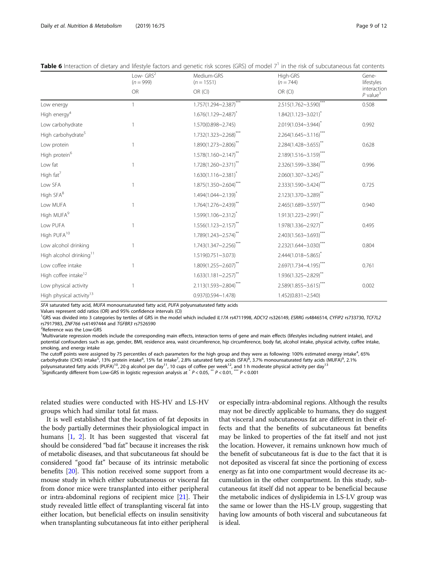|                                      | Low-GRS <sup>2</sup><br>$(n = 999)$ | Medium-GRS<br>$(n = 1551)$       | High-GRS<br>$(n = 744)$           | Gene-<br>lifestyles                   |
|--------------------------------------|-------------------------------------|----------------------------------|-----------------------------------|---------------------------------------|
|                                      | <b>OR</b>                           | OR (CI)                          | OR (Cl)                           | interaction<br>$P$ value <sup>3</sup> |
| Low energy                           | $\mathbf{1}$                        | 1.757(1.294~2.387)***            | 2.515(1.762~3.590)***             | 0.508                                 |
| High energy <sup>4</sup>             |                                     | $1.676(1.129 - 2.487)^{*}$       | $1.842(1.123 - 3.021)^{*}$        |                                       |
| Low carbohydrate                     |                                     | 1.570(0.898~2.745)               | 2.019(1.034~3.944)*               | 0.992                                 |
| High carbohydrate <sup>5</sup>       |                                     | $1.732(1.323 - 2.268)$           | $2.264(1.645 \sim 3.116)^{***}$   |                                       |
| Low protein                          |                                     | $1.890(1.273 \sim 2.806)^{**}$   | 2.284(1.428~3.655)**              | 0.628                                 |
| High protein <sup>6</sup>            |                                     | $1.578(1.160 \times 2.147)^{**}$ | 2.189(1.516~3.159)***             |                                       |
| Low fat                              | $\mathbf{1}$                        | $1.728(1.260 \times 2.371)^{**}$ | 2.326(1.599~3.384)***             | 0.996                                 |
| High $fat^7$                         |                                     | $1.630(1.116 \sim 2.381)^{*}$    | $2.060(1.307 - 3.245)^{**}$       |                                       |
| Low SFA                              |                                     | $1.875(1.350 - 2.604)$ ***       | 2.333(1.590~3.424)***             | 0.725                                 |
| High SFA <sup>8</sup>                |                                     | $1.494(1.044 \sim 2.139)^{*}$    | 2.123(1.370~3.289)**              |                                       |
| Low MUFA                             | 1                                   | $1.764(1.276 \sim 2.439)$ **     | 2.465(1.689~3.597)***             | 0.940                                 |
| High MUFA <sup>9</sup>               |                                     | $1.599(1.106 \sim 2.312)^{*}$    | $1.913(1.223 \sim 2.991)^{**}$    |                                       |
| Low PUFA                             | 1                                   | $1.556(1.123 \times 2.157)^{**}$ | 1.978(1.336~2.927)**              | 0.495                                 |
| High PUFA <sup>10</sup>              |                                     | $1.789(1.243 \sim 2.574)^{**}$   | $2.403(1.563 \times 3.693)^{***}$ |                                       |
| Low alcohol drinking                 |                                     | $1.743(1.347 \sim 2.256)$ ***    | 2.232(1.644~3.030)***             | 0.804                                 |
| High alcohol drinking <sup>11</sup>  |                                     | $1.519(0.751 - 3.073)$           | 2.444(1.018~5.865) <sup>*</sup>   |                                       |
| Low coffee intake                    | 1                                   | $1.809(1.255 \sim 2.607)^{**}$   | 2.697(1.734~4.195)***             | 0.761                                 |
| High coffee intake <sup>12</sup>     |                                     | $1.633(1.181 \times 2.257)$ **   | $1.936(1.325 \sim 2.829)^{**}$    |                                       |
| Low physical activity                |                                     | 2.113(1.593~2.804)***            | $2.589(1.855 \sim 3.615)$ ***     | 0.002                                 |
| High physical activity <sup>13</sup> |                                     | 0.937(0.594~1.478)               | $1.452(0.831 - 2.540)$            |                                       |

<span id="page-8-0"></span>

| Table 6 Interaction of dietary and lifestyle factors and genetic risk scores (GRS) of model 7 <sup>1</sup> in the risk of subcutaneous fat contents |
|-----------------------------------------------------------------------------------------------------------------------------------------------------|
|-----------------------------------------------------------------------------------------------------------------------------------------------------|

SFA saturated fatty acid, MUFA monounsaturated fatty acid, PUFA polyunsaturated fatty acids

Values represent odd ratios (OR) and 95% confidence intervals (CI)

<sup>1</sup>GRS was divided into 3 categories by tertiles of GRS in the model which included IL17A rs4711998, ADCY2 rs326149, ESRRG rs4846514, CYFIP2 rs733730, TCF7L2 rs7917983, ZNF766 rs41497444 and TGFBR3 rs7526590 <sup>2</sup>

<sup>2</sup>Reference was the Low-GRS

<sup>3</sup>Multivariate regression models include the corresponding main effects, interaction terms of gene and main effects (lifestyles including nutrient intake), and potential confounders such as age, gender, BMI, residence area, waist circumference, hip circumference, body fat, alcohol intake, physical activity, coffee intake, smoking, and energy intake

The cutoff points were assigned by 75 percentiles of each parameters for the high group and they were as following: 100% estimated energy intake<sup>4</sup>, 65% carbohydrate (CHO) intake<sup>5</sup>, 13% protein intake<sup>6</sup>, 15% fat intake<sup>7</sup>, 2.8% saturated fatty acids (SFA)<sup>8</sup>, 2.7% monounsaturated fatty acids (MUFA)<sup>9</sup>, 2.1% polyunsaturated fatty acids (PUFA)<sup>10</sup>, 20 g alcohol per day<sup>11</sup>, 10 cups of coffee per week<sup>12</sup>, and 1 h moderate physical activity per day<sup>13</sup> \* Significantly different from Low-GRS in logistic regression analysis at \* P < 0.05, \*\* P < 0.01, \*\*\* P < 0.001

related studies were conducted with HS-HV and LS-HV groups which had similar total fat mass.

It is well established that the location of fat deposits in the body partially determines their physiological impact in humans [\[1,](#page-10-0) [2](#page-10-0)]. It has been suggested that visceral fat should be considered "bad fat" because it increases the risk of metabolic diseases, and that subcutaneous fat should be considered "good fat" because of its intrinsic metabolic benefits [[20](#page-11-0)]. This notion received some support from a mouse study in which either subcutaneous or visceral fat from donor mice were transplanted into either peripheral or intra-abdominal regions of recipient mice [\[21\]](#page-11-0). Their study revealed little effect of transplanting visceral fat into either location, but beneficial effects on insulin sensitivity when transplanting subcutaneous fat into either peripheral

or especially intra-abdominal regions. Although the results may not be directly applicable to humans, they do suggest that visceral and subcutaneous fat are different in their effects and that the benefits of subcutaneous fat benefits may be linked to properties of the fat itself and not just the location. However, it remains unknown how much of the benefit of subcutaneous fat is due to the fact that it is not deposited as visceral fat since the portioning of excess energy as fat into one compartment would decrease its accumulation in the other compartment. In this study, subcutaneous fat itself did not appear to be beneficial because the metabolic indices of dyslipidemia in LS-LV group was the same or lower than the HS-LV group, suggesting that having low amounts of both visceral and subcutaneous fat is ideal.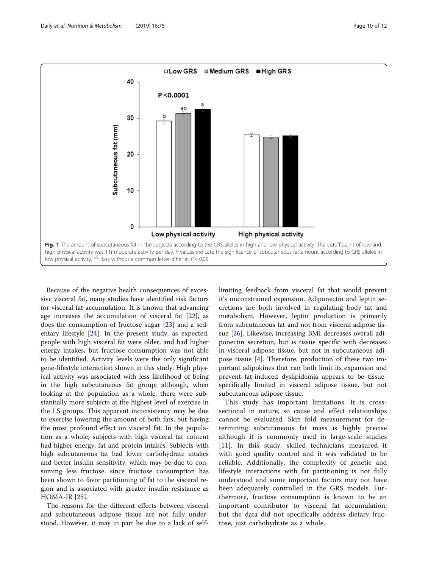<span id="page-9-0"></span>

Because of the negative health consequences of excessive visceral fat, many studies have identified risk factors for visceral fat accumulation. It is known that advancing age increases the accumulation of visceral fat  $[22]$  $[22]$ , as does the consumption of fructose sugar [[23\]](#page-11-0) and a sedentary lifestyle [\[24](#page-11-0)]. In the present study, as expected, people with high visceral fat were older, and had higher energy intakes, but fructose consumption was not able to be identified. Activity levels were the only significant gene-lifestyle interaction shown in this study. High physical activity was associated with less likelihood of being in the high subcutaneous fat group; although, when looking at the population as a whole, there were substantially more subjects at the highest level of exercise in the LS groups. This apparent inconsistency may be due to exercise lowering the amount of both fats, but having the most profound effect on visceral fat. In the population as a whole, subjects with high visceral fat content had higher energy, fat and protein intakes. Subjects with high subcutaneous fat had lower carbohydrate intakes and better insulin sensitivity, which may be due to consuming less fructose, since fructose consumption has been shown to favor partitioning of fat to the visceral region and is associated with greater insulin resistance as HOMA-IR [[25\]](#page-11-0).

The reasons for the different effects between visceral and subcutaneous adipose tissue are not fully understood. However, it may in part be due to a lack of selflimiting feedback from visceral fat that would prevent it's unconstrained expansion. Adiponectin and leptin secretions are both involved in regulating body fat and metabolism. However, leptin production is primarily from subcutaneous fat and not from visceral adipose tissue [[26\]](#page-11-0). Likewise, increasing BMI decreases overall adiponectin secretion, but is tissue specific with decreases in visceral adipose tissue, but not in subcutaneous adipose tissue  $[4]$  $[4]$  $[4]$ . Therefore, production of these two important adipokines that can both limit its expansion and prevent fat-induced dyslipidemia appears to be tissuespecifically limited in visceral adipose tissue, but not subcutaneous adipose tissue.

This study has important limitations. It is crosssectional in nature, so cause and effect relationships cannot be evaluated. Skin fold measurement for determining subcutaneous fat mass is highly precise although it is commonly used in large-scale studies [[11\]](#page-10-0). In this study, skilled technicians measured it with good quality control and it was validated to be reliable. Additionally, the complexity of genetic and lifestyle interactions with fat partitioning is not fully understood and some important factors may not have been adequately controlled in the GRS models. Furthermore, fructose consumption is known to be an important contributor to visceral fat accumulation, but the data did not specifically address dietary fructose, just carbohydrate as a whole.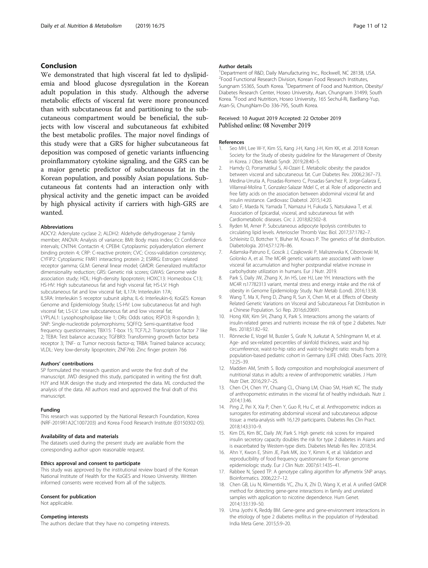# <span id="page-10-0"></span>Conclusion

We demonstrated that high visceral fat led to dyslipidemia and blood glucose dysregulation in the Korean adult population in this study. Although the adverse metabolic effects of visceral fat were more pronounced than with subcutaneous fat and partitioning to the subcutaneous compartment would be beneficial, the subjects with low visceral and subcutaneous fat exhibited the best metabolic profiles. The major novel findings of this study were that a GRS for higher subcutaneous fat deposition was composed of genetic variants influencing proinflammatory cytokine signaling, and the GRS can be a major genetic predictor of subcutaneous fat in the Korean population, and possibly Asian populations. Subcutaneous fat contents had an interaction only with physical activity and the genetic impact can be avoided by high physical activity if carriers with high-GRS are wanted.

#### Abbreviations

ADCY2: Adenylate cyclase 2; ALDH2: Aldehyde dehydrogenase 2 family member; ANOVA: Analysis of variance; BMI: Body mass index; CI: Confidence intervals; CNTN4: Contactin 4; CPEB4: Cytoplasmic polyadenylation element binding protein 4; CRP: C-reactive protein; CVC: Cross-validation consistency; CYFIP2: Cytoplasmic FMR1 interacting protein 2; ESRRG: Estrogen related receptor gamma; GLM: General linear model; GMDR: Generalized multifactor dimensionality reduction; GRS: Genetic risk scores; GWAS: Genome wide association study; HDL: High-density lipoprotein; HOXC13: Homeobox C13; HS-HV: High subcutaneous fat and high visceral fat; HS-LV: High subcutaneous fat and low visceral fat; IL17A: Interleukin 17A; IL5RA: Interleukin 5 receptor subunit alpha; IL-6: Interleukin-6; KoGES: Korean Genome and Epidemiology Study; LS-HV: Low subcutaneous fat and high visceral fat; LS-LV: Low subcutaneous fat and low visceral fat; LYPLAL1: Lysophospholipase like 1; ORs: Odds ratios; RSPO3: R-spondin 3; SNP: Single-nucleotide polymorphisms; SQFFQ: Semi-quantitative food frequency questionnaires; TBX15: T-box 15; TCF7L2: Transcription factor 7 like 2; TEBA: Test balance accuracy; TGFBR3: Transforming growth factor beta receptor 3; TNF- α: Tumor necrosis factor-α; TRBA: Trained balance accuracy; VLDL: Very low-density lipoprotein; ZNF766: Zinc finger protein 766

#### Authors' contributions

SP formulated the research question and wrote the first draft of the manuscript. JWD designed this study, participated in writing the first draft. HJY and MJK design the study and interpreted the data. ML conducted the analysis of the data. All authors read and approved the final draft of this manuscript.

#### Funding

This research was supported by the National Research Foundation, Korea (NRF-2019R1A2C1007203) and Korea Food Research Institute (E0150302-05).

#### Availability of data and materials

The datasets used during the present study are available from the corresponding author upon reasonable request.

#### Ethics approval and consent to participate

This study was approved by the institutional review board of the Korean National Institute of Health for the KoGES and Hoseo University. Written informed consents were received from all of the subjects.

#### Consent for publication

Not applicable.

## Competing interests

The authors declare that they have no competing interests.

#### Author details

<sup>1</sup>Department of R&D, Daily Manufacturing Inc., Rockwell, NC 28138, USA. <sup>2</sup> Food Functional Research Division, Korean Food Research Institutes Sungnam 55365, South Korea. <sup>3</sup>Department of Food and Nutrition, Obesity/ Diabetes Research Center, Hoseo University, Asan, Chungnam 31499, South Korea. <sup>4</sup> Food and Nutrition, Hoseo University, 165 Sechul-Ri, BaeBang-Yup, Asan-Si, ChungNam-Do 336-795, South Korea.

# Received: 10 August 2019 Accepted: 22 October 2019<br>Published online: 08 November 2019

#### References

- 1. Seo MH, Lee W-Y, Kim SS, Kang J-H, Kang J-H, Kim KK, et al. 2018 Korean Society for the Study of obesity guideline for the Management of Obesity in Korea. J Obes Metab Syndr. 2019;28:40–5.
- 2. Hamdy O, Porramatikul S, Al-Ozairi E. Metabolic obesity: the paradox between visceral and subcutaneous fat. Curr Diabetes Rev. 2006;2:367–73.
- 3. Medina-Urrutia A, Posadas-Romero C, Posadas-Sanchez R, Jorge-Galarza E, Villarreal-Molina T, Gonzalez-Salazar Mdel C, et al. Role of adiponectin and free fatty acids on the association between abdominal visceral fat and insulin resistance. Cardiovasc Diabetol. 2015;14:20.
- 4. Sato F, Maeda N, Yamada T, Namazui H, Fukuda S, Natsukawa T, et al. Association of Epicardial, visceral, and subcutaneous fat with Cardiometabolic diseases. Circ J. 2018;82:502–8.
- 5. Ryden M, Arner P. Subcutaneous adipocyte lipolysis contributes to circulating lipid levels. Arterioscler Thromb Vasc Biol. 2017;37:1782–7.
- 6. Schleinitz D, Bottcher Y, Bluher M, Kovacs P. The genetics of fat distribution. Diabetologia. 2014;57:1276–86.
- 7. Adamska-Patruno E, Goscik J, Czajkowski P, Maliszewska K, Ciborowski M, Golonko A, et al. The MC4R genetic variants are associated with lower visceral fat accumulation and higher postprandial relative increase in carbohydrate utilization in humans. Eur J Nutr. 2019.
- 8. Park S, Daily JW, Zhang X, Jin HS, Lee HJ, Lee YH. Interactions with the MC4R rs17782313 variant, mental stress and energy intake and the risk of obesity in Genome Epidemiology Study. Nutr Metab (Lond). 2016;13:38.
- 9. Wang T, Ma X, Peng D, Zhang R, Sun X, Chen M, et al. Effects of Obesity Related Genetic Variations on Visceral and Subcutaneous Fat Distribution in a Chinese Population. Sci Rep. 2016;6:20691.
- 10. Hong KW, Kim SH, Zhang X, Park S. Interactions among the variants of insulin-related genes and nutrients increase the risk of type 2 diabetes. Nutr Res. 2018;51:82–92.
- 11. Rönnecke E, Vogel M, Bussler S, Grafe N, Jurkutat A, Schlingmann M, et al. Age- and sex-related percentiles of skinfold thickness, waist and hip circumference, waist-to-hip ratio and waist-to-height ratio: results from a population-based pediatric cohort in Germany (LIFE child). Obes Facts. 2019; 12:25–39.
- 12. Madden AM, Smith S. Body composition and morphological assessment of nutritional status in adults: a review of anthropometric variables. J Hum Nutr Diet. 2016;29:7–25.
- 13. Chen CH, Chen YY, Chuang CL, Chiang LM, Chiao SM, Hsieh KC. The study of anthropometric estimates in the visceral fat of healthy individuals. Nutr J. 2014;13:46.
- 14. Ping Z, Pei X, Xia P, Chen Y, Guo R, Hu C, et al. Anthropometric indices as surrogates for estimating abdominal visceral and subcutaneous adipose tissue: a meta-analysis with 16,129 participants. Diabetes Res Clin Pract. 2018;143:310–9.
- 15. Kim DS, Kim BC, Daily JW, Park S. High genetic risk scores for impaired insulin secretory capacity doubles the risk for type 2 diabetes in Asians and is exacerbated by Western-type diets. Diabetes Metab Res Rev. 2018;34.
- 16. Ahn Y, Kwon E, Shim JE, Park MK, Joo Y, Kimm K, et al. Validation and reproducibility of food frequency questionnaire for Korean genome epidemiologic study. Eur J Clin Nutr. 2007;61:1435–41.
- 17. Rabbee N, Speed TP. A genotype calling algorithm for affymetrix SNP arrays. Bioinformatics. 2006;22:7–12.
- 18. Chen GB, Liu N, Klimentidis YC, Zhu X, Zhi D, Wang X, et al. A unified GMDR method for detecting gene-gene interactions in family and unrelated samples with application to nicotine dependence. Hum Genet. 2014;133:139–50.
- 19. Uma Jyothi K, Reddy BM. Gene-gene and gene-environment interactions in the etiology of type 2 diabetes mellitus in the population of Hyderabad. India Meta Gene. 2015;5:9–20.